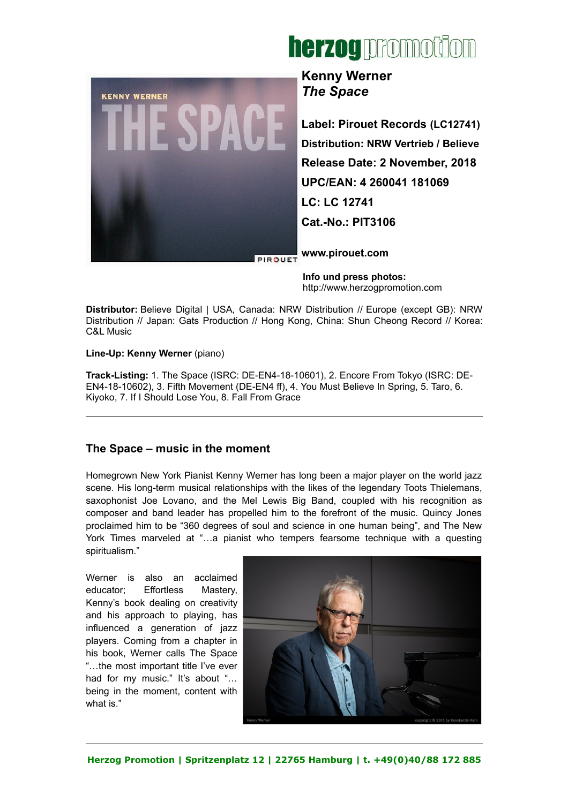



**Kenny Werner** *The Space*

**Label: Pirouet Records (LC12741) Distribution: NRW Vertrieb / Believe Release Date: 2 November, 2018 UPC/EAN: 4 260041 181069 LC: LC 12741 Cat.-No.: PIT3106**

**[www.pirouet.com](http://www.pirouet.com/)**

 **Info und press photos:** [http://www.herzogpromotion.com](http://www.herzogpromotion.com/de/)

**Distributor:** Believe Digital | USA, Canada: NRW Distribution // Europe (except GB): NRW Distribution // Japan: Gats Production // Hong Kong, China: Shun Cheong Record // Korea: C&L Music

## **Line-Up: Kenny Werner** (piano)

**Track-Listing:** 1. The Space (ISRC: DE-EN4-18-10601), 2. Encore From Tokyo (ISRC: DE-EN4-18-10602), 3. Fifth Movement (DE-EN4 ff), 4. You Must Believe In Spring, 5. Taro, 6. Kiyoko, 7. If I Should Lose You, 8. Fall From Grace

## **The Space – music in the moment**

Homegrown New York Pianist Kenny Werner has long been a major player on the world jazz scene. His long-term musical relationships with the likes of the legendary Toots Thielemans, saxophonist Joe Lovano, and the Mel Lewis Big Band, coupled with his recognition as composer and band leader has propelled him to the forefront of the music. Quincy Jones proclaimed him to be "360 degrees of soul and science in one human being", and The New York Times marveled at "…a pianist who tempers fearsome technique with a questing spiritualism."

Werner is also an acclaimed educator; Effortless Mastery, Kenny's book dealing on creativity and his approach to playing, has influenced a generation of jazz players. Coming from a chapter in his book, Werner calls The Space "…the most important title I've ever had for my music." It's about "... being in the moment, content with what is."